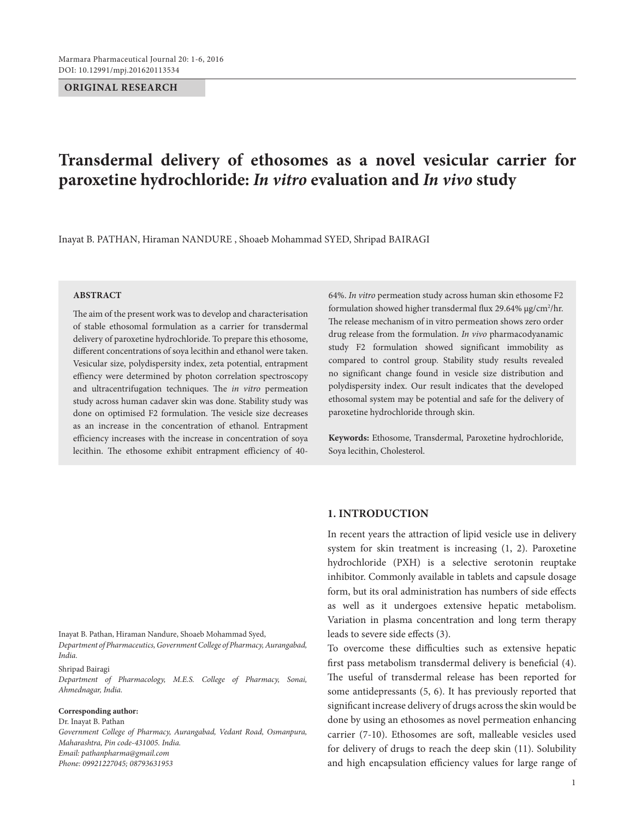#### **ORIGINAL RESEARCH**

# **Transdermal delivery of ethosomes as a novel vesicular carrier for paroxetine hydrochloride:** *In vitro* **evaluation and** *In vivo* **study**

Inayat B. PATHAN, Hiraman NANDURE, Shoaeb Mohammad SYED, Shripad BAIRAGI

# **ABSTRACT**

The aim of the present work was to develop and characterisation of stable ethosomal formulation as a carrier for transdermal delivery of paroxetine hydrochloride. To prepare this ethosome, different concentrations of soya lecithin and ethanol were taken. Vesicular size, polydispersity index, zeta potential, entrapment effiency were determined by photon correlation spectroscopy and ultracentrifugation techniques. The *in vitro* permeation study across human cadaver skin was done. Stability study was done on optimised F2 formulation. The vesicle size decreases as an increase in the concentration of ethanol. Entrapment efficiency increases with the increase in concentration of soya lecithin. The ethosome exhibit entrapment efficiency of 40-

64%. *In vitro* permeation study across human skin ethosome F2 formulation showed higher transdermal flux 29.64% µg/cm2 /hr. The release mechanism of in vitro permeation shows zero order drug release from the formulation. *In vivo* pharmacodyanamic study F2 formulation showed significant immobility as compared to control group. Stability study results revealed no significant change found in vesicle size distribution and polydispersity index. Our result indicates that the developed ethosomal system may be potential and safe for the delivery of paroxetine hydrochloride through skin.

**Keywords:** Ethosome, Transdermal, Paroxetine hydrochloride, Soya lecithin, Cholesterol.

# **1. Introduction**

In recent years the attraction of lipid vesicle use in delivery system for skin treatment is increasing (1, 2). Paroxetine hydrochloride (PXH) is a selective serotonin reuptake inhibitor. Commonly available in tablets and capsule dosage form, but its oral administration has numbers of side effects as well as it undergoes extensive hepatic metabolism. Variation in plasma concentration and long term therapy leads to severe side effects (3).

To overcome these difficulties such as extensive hepatic first pass metabolism transdermal delivery is beneficial (4). The useful of transdermal release has been reported for some antidepressants (5, 6). It has previously reported that significant increase delivery of drugs across the skin would be done by using an ethosomes as novel permeation enhancing carrier (7-10). Ethosomes are soft, malleable vesicles used for delivery of drugs to reach the deep skin (11). Solubility and high encapsulation efficiency values for large range of

Inayat B. Pathan, Hiraman Nandure, Shoaeb Mohammad Syed, *Department of Pharmaceutics, Government College of Pharmacy, Aurangabad, India.*

Shripad Bairagi

*Department of Pharmacology, M.E.S. College of Pharmacy, Sonai, Ahmednagar, India.*

#### **Corresponding author:**

Dr. Inayat B. Pathan *Government College of Pharmacy, Aurangabad, Vedant Road, Osmanpura, Maharashtra, Pin code-431005. India. Email: pathanpharma@gmail.com Phone: 09921227045; 08793631953*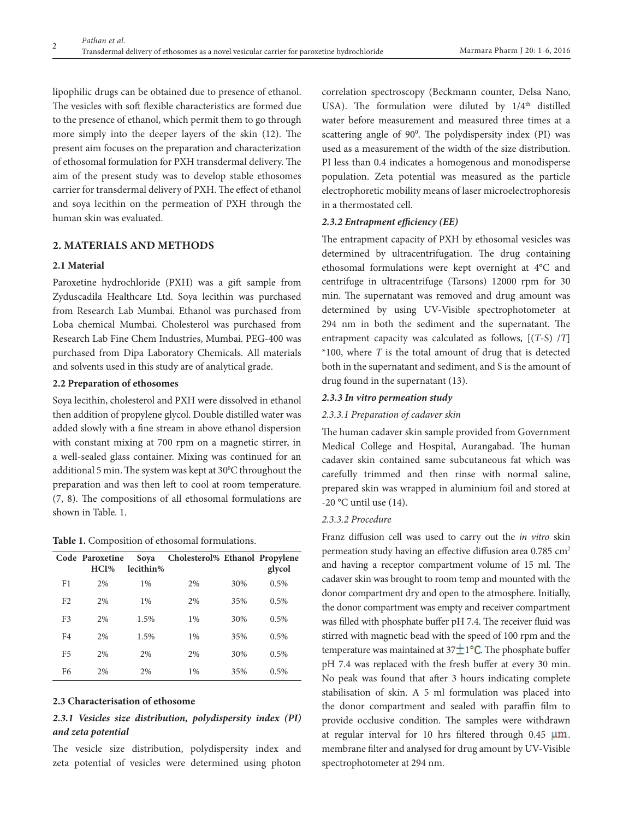lipophilic drugs can be obtained due to presence of ethanol. The vesicles with soft flexible characteristics are formed due to the presence of ethanol, which permit them to go through more simply into the deeper layers of the skin (12). The present aim focuses on the preparation and characterization of ethosomal formulation for PXH transdermal delivery. The aim of the present study was to develop stable ethosomes carrier for transdermal delivery of PXH. The effect of ethanol and soya lecithin on the permeation of PXH through the human skin was evaluated.

# **2. Materials and methods**

# **2.1 Material**

Paroxetine hydrochloride (PXH) was a gift sample from Zyduscadila Healthcare Ltd. Soya lecithin was purchased from Research Lab Mumbai. Ethanol was purchased from Loba chemical Mumbai. Cholesterol was purchased from Research Lab Fine Chem Industries, Mumbai. PEG-400 was purchased from Dipa Laboratory Chemicals. All materials and solvents used in this study are of analytical grade.

# **2.2 Preparation of ethosomes**

Soya lecithin, cholesterol and PXH were dissolved in ethanol then addition of propylene glycol. Double distilled water was added slowly with a fine stream in above ethanol dispersion with constant mixing at 700 rpm on a magnetic stirrer, in a well-sealed glass container. Mixing was continued for an additional 5 min. The system was kept at  $30^{\circ}$ C throughout the preparation and was then left to cool at room temperature. (7, 8). The compositions of all ethosomal formulations are shown in Table. 1.

**Table 1.** Composition of ethosomal formulations.

|                | Code Paroxetine<br>HCI% | Soya<br>lecithin% | Cholesterol% Ethanol Propylene |     | glycol |
|----------------|-------------------------|-------------------|--------------------------------|-----|--------|
| F <sub>1</sub> | 2%                      | $1\%$             | 2%                             | 30% | 0.5%   |
| F <sub>2</sub> | 2%                      | $1\%$             | 2%                             | 35% | 0.5%   |
| F <sub>3</sub> | 2%                      | 1.5%              | $1\%$                          | 30% | 0.5%   |
| F4             | 2%                      | 1.5%              | $1\%$                          | 35% | 0.5%   |
| F5             | 2%                      | 2%                | 2%                             | 30% | 0.5%   |
| F6             | 2%                      | 2%                | $1\%$                          | 35% | 0.5%   |

# **2.3 Characterisation of ethosome**

# *2.3.1 Vesicles size distribution, polydispersity index (PI) and zeta potential*

The vesicle size distribution, polydispersity index and zeta potential of vesicles were determined using photon

correlation spectroscopy (Beckmann counter, Delsa Nano, USA). The formulation were diluted by  $1/4<sup>th</sup>$  distilled water before measurement and measured three times at a scattering angle of 90°. The polydispersity index (PI) was used as a measurement of the width of the size distribution. PI less than 0.4 indicates a homogenous and monodisperse population. Zeta potential was measured as the particle electrophoretic mobility means of laser microelectrophoresis in a thermostated cell.

#### *2.3.2 Entrapment efficiency (EE)*

The entrapment capacity of PXH by ethosomal vesicles was determined by ultracentrifugation. The drug containing ethosomal formulations were kept overnight at 4°C and centrifuge in ultracentrifuge (Tarsons) 12000 rpm for 30 min. The supernatant was removed and drug amount was determined by using UV-Visible spectrophotometer at 294 nm in both the sediment and the supernatant. The entrapment capacity was calculated as follows, [(*T*-S) /*T*] \*100, where *T* is the total amount of drug that is detected both in the supernatant and sediment, and S is the amount of drug found in the supernatant (13).

#### *2.3.3 In vitro permeation study*

#### *2.3.3.1 Preparation of cadaver skin*

The human cadaver skin sample provided from Government Medical College and Hospital, Aurangabad. The human cadaver skin contained same subcutaneous fat which was carefully trimmed and then rinse with normal saline, prepared skin was wrapped in aluminium foil and stored at  $-20$  °C until use (14).

# *2.3.3.2 Procedure*

Franz diffusion cell was used to carry out the *in vitro* skin permeation study having an effective diffusion area 0.785 cm<sup>2</sup> and having a receptor compartment volume of 15 ml. The cadaver skin was brought to room temp and mounted with the donor compartment dry and open to the atmosphere. Initially, the donor compartment was empty and receiver compartment was filled with phosphate buffer pH 7.4. The receiver fluid was stirred with magnetic bead with the speed of 100 rpm and the temperature was maintained at  $37\pm 1$ <sup>o</sup>C. The phosphate buffer pH 7.4 was replaced with the fresh buffer at every 30 min. No peak was found that after 3 hours indicating complete stabilisation of skin. A 5 ml formulation was placed into the donor compartment and sealed with paraffin film to provide occlusive condition. The samples were withdrawn at regular interval for 10 hrs filtered through  $0.45 \mu m$ . membrane filter and analysed for drug amount by UV-Visible spectrophotometer at 294 nm.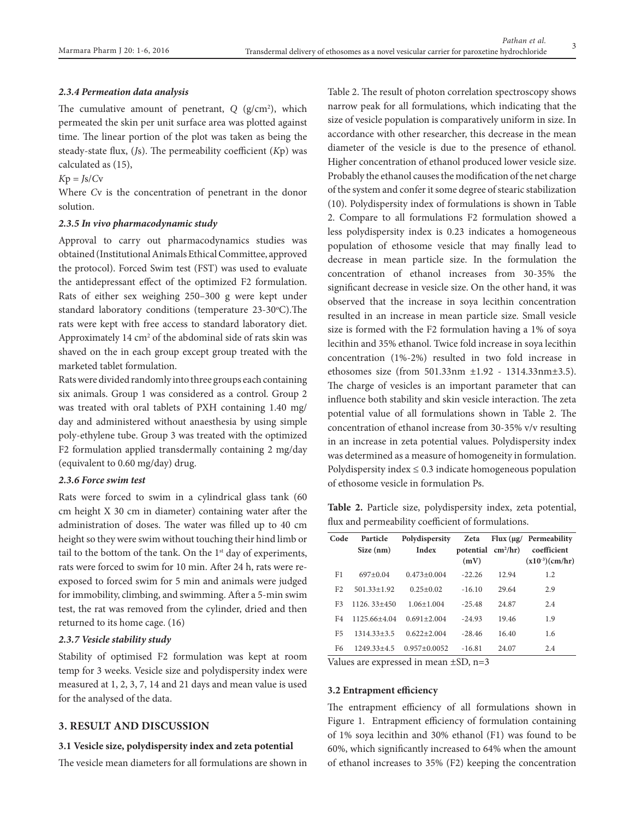#### *2.3.4 Permeation data analysis*

The cumulative amount of penetrant, *Q* (g/cm2 ), which permeated the skin per unit surface area was plotted against time. The linear portion of the plot was taken as being the steady-state flux, (*J*s). The permeability coefficient (*K*p) was calculated as (15),

# $Kp = Js/Cv$

Where *C*v is the concentration of penetrant in the donor solution.

#### *2.3.5 In vivo pharmacodynamic study*

Approval to carry out pharmacodynamics studies was obtained (Institutional Animals Ethical Committee, approved the protocol). Forced Swim test (FST) was used to evaluate the antidepressant effect of the optimized F2 formulation. Rats of either sex weighing 250–300 g were kept under standard laboratory conditions (temperature 23-30°C).The rats were kept with free access to standard laboratory diet. Approximately  $14 \text{ cm}^2$  of the abdominal side of rats skin was shaved on the in each group except group treated with the marketed tablet formulation.

Rats were divided randomly into three groups each containing six animals. Group 1 was considered as a control. Group 2 was treated with oral tablets of PXH containing 1.40 mg/ day and administered without anaesthesia by using simple poly-ethylene tube. Group 3 was treated with the optimized F2 formulation applied transdermally containing 2 mg/day (equivalent to 0.60 mg/day) drug.

## *2.3.6 Force swim test*

Rats were forced to swim in a cylindrical glass tank (60 cm height X 30 cm in diameter) containing water after the administration of doses. The water was filled up to 40 cm height so they were swim without touching their hind limb or tail to the bottom of the tank. On the  $1<sup>st</sup>$  day of experiments, rats were forced to swim for 10 min. After 24 h, rats were reexposed to forced swim for 5 min and animals were judged for immobility, climbing, and swimming. After a 5-min swim test, the rat was removed from the cylinder, dried and then returned to its home cage. (16)

# *2.3.7 Vesicle stability study*

Stability of optimised F2 formulation was kept at room temp for 3 weeks. Vesicle size and polydispersity index were measured at 1, 2, 3, 7, 14 and 21 days and mean value is used for the analysed of the data.

# **3. Result and discussion**

#### **3.1 Vesicle size, polydispersity index and zeta potential**

The vesicle mean diameters for all formulations are shown in

Table 2. The result of photon correlation spectroscopy shows narrow peak for all formulations, which indicating that the size of vesicle population is comparatively uniform in size. In accordance with other researcher, this decrease in the mean diameter of the vesicle is due to the presence of ethanol. Higher concentration of ethanol produced lower vesicle size. Probably the ethanol causes the modification of the net charge of the system and confer it some degree of stearic stabilization (10). Polydispersity index of formulations is shown in Table 2. Compare to all formulations F2 formulation showed a less polydispersity index is 0.23 indicates a homogeneous population of ethosome vesicle that may finally lead to decrease in mean particle size. In the formulation the concentration of ethanol increases from 30-35% the significant decrease in vesicle size. On the other hand, it was observed that the increase in soya lecithin concentration resulted in an increase in mean particle size. Small vesicle size is formed with the F2 formulation having a 1% of soya lecithin and 35% ethanol. Twice fold increase in soya lecithin concentration (1%-2%) resulted in two fold increase in ethosomes size (from 501.33nm ±1.92 - 1314.33nm±3.5). The charge of vesicles is an important parameter that can influence both stability and skin vesicle interaction. The zeta potential value of all formulations shown in Table 2. The concentration of ethanol increase from 30-35% v/v resulting in an increase in zeta potential values. Polydispersity index was determined as a measure of homogeneity in formulation. Polydispersity index  $\leq 0.3$  indicate homogeneous population of ethosome vesicle in formulation Ps.

**Table 2.** Particle size, polydispersity index, zeta potential, flux and permeability coefficient of formulations.

| Code           | Particle<br>Size (nm) | Polydispersity<br>Index | (mV)     | potential $\text{cm}^2/\text{hr}$ ) | Zeta Flux $(\mu g /$ Permeability<br>coefficient<br>$(x10^{-3})$ (cm/hr) |
|----------------|-----------------------|-------------------------|----------|-------------------------------------|--------------------------------------------------------------------------|
| F1             | $697+0.04$            | $0.473 + 0.004$         | $-22.26$ | 12.94                               | 1.2                                                                      |
| F <sub>2</sub> | $501.33 + 1.92$       | $0.25 + 0.02$           | $-16.10$ | 29.64                               | 2.9                                                                      |
| F3             | $1126.33 + 450$       | $1.06 + 1.004$          | $-25.48$ | 24.87                               | 2.4                                                                      |
| F4             | 1125.66+4.04          | $0.691 + 2.004$         | $-24.93$ | 19.46                               | 1.9                                                                      |
| F5             | $1314.33 + 3.5$       | $0.622 + 2.004$         | $-28.46$ | 16.40                               | 1.6                                                                      |
| F6             | $1249.33 + 4.5$       | $0.957+0.0052$          | $-16.81$ | 24.07                               | 2.4                                                                      |

Values are expressed in mean ±SD, n=3

#### **3.2 Entrapment efficiency**

The entrapment efficiency of all formulations shown in Figure 1. Entrapment efficiency of formulation containing of 1% soya lecithin and 30% ethanol (F1) was found to be 60%, which significantly increased to 64% when the amount of ethanol increases to 35% (F2) keeping the concentration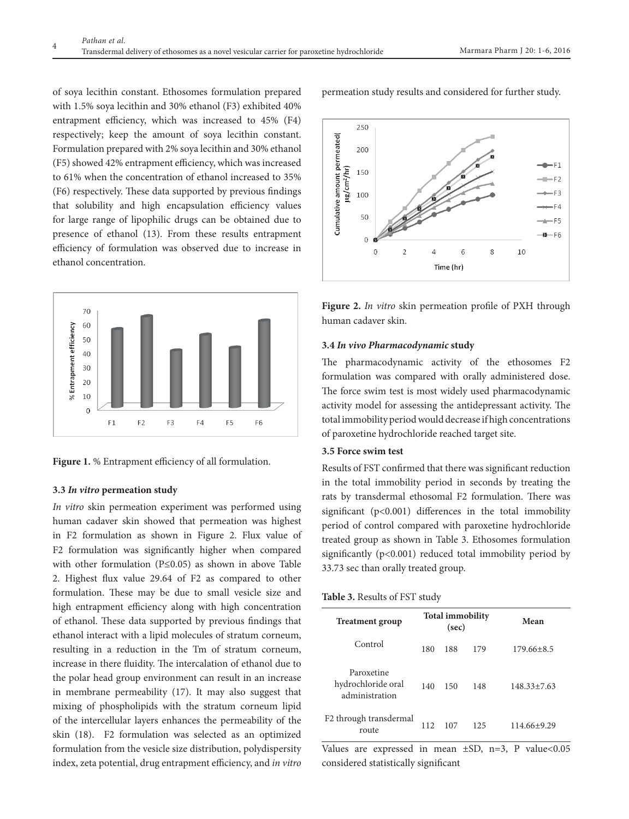of soya lecithin constant. Ethosomes formulation prepared with 1.5% soya lecithin and 30% ethanol (F3) exhibited 40% entrapment efficiency, which was increased to 45% (F4) respectively; keep the amount of soya lecithin constant. Formulation prepared with 2% soya lecithin and 30% ethanol (F5) showed 42% entrapment efficiency, which was increased to 61% when the concentration of ethanol increased to 35% (F6) respectively. These data supported by previous findings that solubility and high encapsulation efficiency values for large range of lipophilic drugs can be obtained due to presence of ethanol (13). From these results entrapment efficiency of formulation was observed due to increase in ethanol concentration.





#### **3.3** *In vitro* **permeation study**

*In vitro* skin permeation experiment was performed using human cadaver skin showed that permeation was highest in F2 formulation as shown in Figure 2. Flux value of F2 formulation was significantly higher when compared with other formulation (P≤0.05) as shown in above Table 2. Highest flux value 29.64 of F2 as compared to other formulation. These may be due to small vesicle size and high entrapment efficiency along with high concentration of ethanol. These data supported by previous findings that ethanol interact with a lipid molecules of stratum corneum, resulting in a reduction in the Tm of stratum corneum, increase in there fluidity. The intercalation of ethanol due to the polar head group environment can result in an increase in membrane permeability (17). It may also suggest that mixing of phospholipids with the stratum corneum lipid of the intercellular layers enhances the permeability of the skin (18). F2 formulation was selected as an optimized formulation from the vesicle size distribution, polydispersity index, zeta potential, drug entrapment efficiency, and *in vitro*

permeation study results and considered for further study.



**Figure 2.** *In vitro* skin permeation profile of PXH through human cadaver skin.

## **3.4** *In vivo Pharmacodynamic* **study**

The pharmacodynamic activity of the ethosomes F2 formulation was compared with orally administered dose. The force swim test is most widely used pharmacodynamic activity model for assessing the antidepressant activity. The total immobility period would decrease if high concentrations of paroxetine hydrochloride reached target site.

# **3.5 Force swim test**

Results of FST confirmed that there was significant reduction in the total immobility period in seconds by treating the rats by transdermal ethosomal F2 formulation. There was significant (p<0.001) differences in the total immobility period of control compared with paroxetine hydrochloride treated group as shown in Table 3. Ethosomes formulation significantly (p<0.001) reduced total immobility period by 33.73 sec than orally treated group.

#### **Table 3.** Results of FST study

| <b>Treatment group</b>                             | <b>Total immobility</b><br>(sec) |     |     | Mean              |
|----------------------------------------------------|----------------------------------|-----|-----|-------------------|
| Control                                            | 180                              | 188 | 179 | $179.66 \pm 8.5$  |
| Paroxetine<br>hydrochloride oral<br>administration | 140                              | 150 | 148 | $148.33 \pm 7.63$ |
| F <sub>2</sub> through transdermal<br>route        | 112                              | 107 | 125 | 114.66+9.29       |

Values are expressed in mean  $\pm SD$ , n=3, P value<0.05 considered statistically significant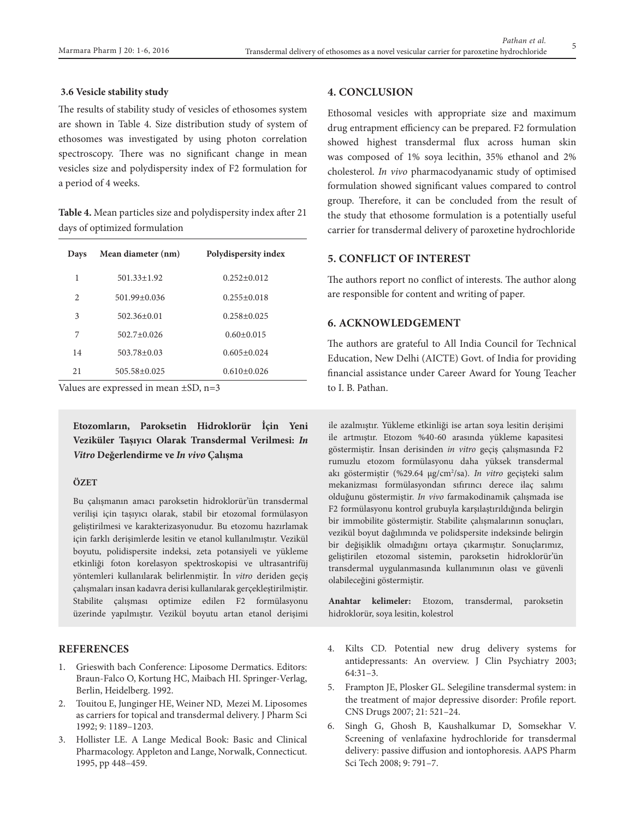#### **3.6 Vesicle stability study**

The results of stability study of vesicles of ethosomes system are shown in Table 4. Size distribution study of system of ethosomes was investigated by using photon correlation spectroscopy. There was no significant change in mean vesicles size and polydispersity index of F2 formulation for a period of 4 weeks.

**Table 4.** Mean particles size and polydispersity index after 21 days of optimized formulation

| Days           | Mean diameter (nm) | Polydispersity index |
|----------------|--------------------|----------------------|
| 1              | $501.33 \pm 1.92$  | $0.252 + 0.012$      |
| $\mathfrak{D}$ | $501.99 + 0.036$   | $0.255+0.018$        |
| 3              | $502.36 + 0.01$    | $0.258 + 0.025$      |
| 7              | $502.7 + 0.026$    | $0.60 \pm 0.015$     |
| 14             | $503.78 \pm 0.03$  | $0.605 + 0.024$      |
| 21             | $505.58 \pm 0.025$ | $0.610 + 0.026$      |

Values are expressed in mean ±SD, n=3

**Etozomların, Paroksetin Hidroklorür İçin Yeni Veziküler Taşıyıcı Olarak Transdermal Verilmesi:** *In Vitro* **Değerlendirme ve** *In vivo* **Çalışma**

# **ÖZET**

Bu çalışmanın amacı paroksetin hidroklorür'ün transdermal verilişi için taşıyıcı olarak, stabil bir etozomal formülasyon geliştirilmesi ve karakterizasyonudur. Bu etozomu hazırlamak için farklı derişimlerde lesitin ve etanol kullanılmıştır. Vezikül boyutu, polidispersite indeksi, zeta potansiyeli ve yükleme etkinliği foton korelasyon spektroskopisi ve ultrasantrifüj yöntemleri kullanılarak belirlenmiştir. İn *vitro* deriden geçiş çalışmaları insan kadavra derisi kullanılarak gerçekleştirilmiştir. Stabilite çalışması optimize edilen F2 formülasyonu üzerinde yapılmıştır. Vezikül boyutu artan etanol derişimi

# **References**

- 1. Grieswith bach Conference: Liposome Dermatics. Editors: Braun-Falco O, Kortung HC, Maibach HI. Springer-Verlag, Berlin, Heidelberg. 1992.
- 2. Touitou E, Junginger HE, Weiner ND, Mezei M. Liposomes as carriers for topical and transdermal delivery. J Pharm Sci 1992; 9: 1189–1203.
- 3. Hollister LE. A Lange Medical Book: Basic and Clinical Pharmacology. Appleton and Lange, Norwalk, Connecticut. 1995, pp 448–459.

# **4. Conclusion**

Ethosomal vesicles with appropriate size and maximum drug entrapment efficiency can be prepared. F2 formulation showed highest transdermal flux across human skin was composed of 1% soya lecithin, 35% ethanol and 2% cholesterol. *In vivo* pharmacodyanamic study of optimised formulation showed significant values compared to control group. Therefore, it can be concluded from the result of the study that ethosome formulation is a potentially useful carrier for transdermal delivery of paroxetine hydrochloride

# **5. Conflict of Interest**

The authors report no conflict of interests. The author along are responsible for content and writing of paper.

# **6. Acknowledgement**

The authors are grateful to All India Council for Technical Education, New Delhi (AICTE) Govt. of India for providing financial assistance under Career Award for Young Teacher to I. B. Pathan.

ile azalmıştır. Yükleme etkinliği ise artan soya lesitin derişimi ile artmıştır. Etozom %40-60 arasında yükleme kapasitesi göstermiştir. İnsan derisinden *in vitro* geçiş çalışmasında F2 rumuzlu etozom formülasyonu daha yüksek transdermal akı göstermiştir (%29.64 µg/cm2 /sa). *In vitro* geçişteki salım mekanizması formülasyondan sıfırıncı derece ilaç salımı olduğunu göstermiştir. *In vivo* farmakodinamik çalışmada ise F2 formülasyonu kontrol grubuyla karşılaştırıldığında belirgin bir immobilite göstermiştir. Stabilite çalışmalarının sonuçları, vezikül boyut dağılımında ve polidspersite indeksinde belirgin bir değişiklik olmadığını ortaya çıkarmıştır. Sonuçlarımız, geliştirilen etozomal sistemin, paroksetin hidroklorür'ün transdermal uygulanmasında kullanımının olası ve güvenli olabileceğini göstermiştir.

**Anahtar kelimeler:** Etozom, transdermal, paroksetin hidroklorür, soya lesitin, kolestrol

- 4. Kilts CD. Potential new drug delivery systems for antidepressants: An overview. J Clin Psychiatry 2003; 64:31–3.
- 5. Frampton JE, Plosker GL. Selegiline transdermal system: in the treatment of major depressive disorder: Profile report. CNS Drugs 2007; 21: 521–24.
- 6. Singh G, Ghosh B, Kaushalkumar D, Somsekhar V. Screening of venlafaxine hydrochloride for transdermal delivery: passive diffusion and iontophoresis. AAPS Pharm Sci Tech 2008; 9: 791–7.